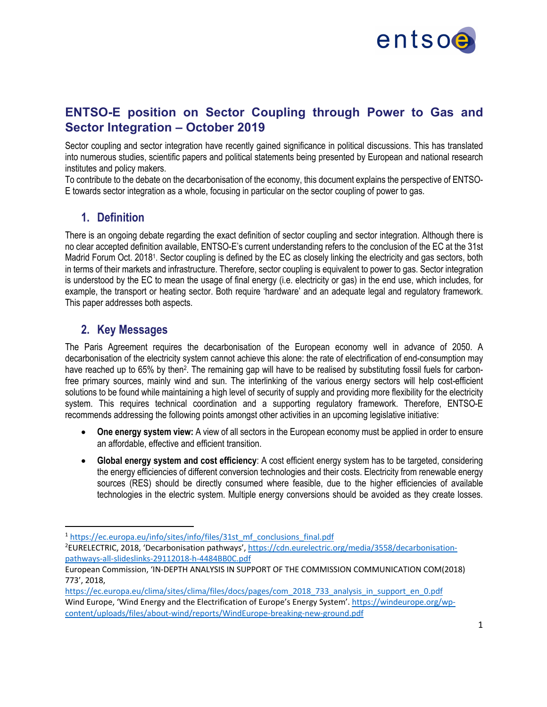

## **ENTSO-E position on Sector Coupling through Power to Gas and Sector Integration – October 2019**

Sector coupling and sector integration have recently gained significance in political discussions. This has translated into numerous studies, scientific papers and political statements being presented by European and national research institutes and policy makers.

To contribute to the debate on the decarbonisation of the economy, this document explains the perspective of ENTSO-E towards sector integration as a whole, focusing in particular on the sector coupling of power to gas.

## **1. Definition**

There is an ongoing debate regarding the exact definition of sector coupling and sector integration. Although there is no clear accepted definition available, ENTSO-E's current understanding refers to the conclusion of the EC at the 31st Madrid Forum Oct. 20181. Sector coupling is defined by the EC as closely linking the electricity and gas sectors, both in terms of their markets and infrastructure. Therefore, sector coupling is equivalent to power to gas. Sector integration is understood by the EC to mean the usage of final energy (i.e. electricity or gas) in the end use, which includes, for example, the transport or heating sector. Both require 'hardware' and an adequate legal and regulatory framework. This paper addresses both aspects.

## **2. Key Messages**

The Paris Agreement requires the decarbonisation of the European economy well in advance of 2050. A decarbonisation of the electricity system cannot achieve this alone: the rate of electrification of end-consumption may have reached up to 65% by then<sup>2</sup>. The remaining gap will have to be realised by substituting fossil fuels for carbonfree primary sources, mainly wind and sun. The interlinking of the various energy sectors will help cost-efficient solutions to be found while maintaining a high level of security of supply and providing more flexibility for the electricity system. This requires technical coordination and a supporting regulatory framework. Therefore, ENTSO-E recommends addressing the following points amongst other activities in an upcoming legislative initiative:

- **One energy system view:** A view of all sectors in the European economy must be applied in order to ensure an affordable, effective and efficient transition.
- **Global energy system and cost efficiency**: A cost efficient energy system has to be targeted, considering the energy efficiencies of different conversion technologies and their costs. Electricity from renewable energy sources (RES) should be directly consumed where feasible, due to the higher efficiencies of available technologies in the electric system. Multiple energy conversions should be avoided as they create losses.

<sup>&</sup>lt;sup>1</sup> https://ec.europa.eu/info/sites/info/files/31st\_mf\_conclusions\_final.pdf

<sup>&</sup>lt;sup>2</sup>EURELECTRIC, 2018, 'Decarbonisation pathways', https://cdn.eurelectric.org/media/3558/decarbonisationpathways-all-slideslinks-29112018-h-4484BB0C.pdf

European Commission, 'IN-DEPTH ANALYSIS IN SUPPORT OF THE COMMISSION COMMUNICATION COM(2018) 773', 2018,

https://ec.europa.eu/clima/sites/clima/files/docs/pages/com\_2018\_733\_analysis\_in\_support\_en\_0.pdf Wind Europe, 'Wind Energy and the Electrification of Europe's Energy System'. https://windeurope.org/wpcontent/uploads/files/about-wind/reports/WindEurope-breaking-new-ground.pdf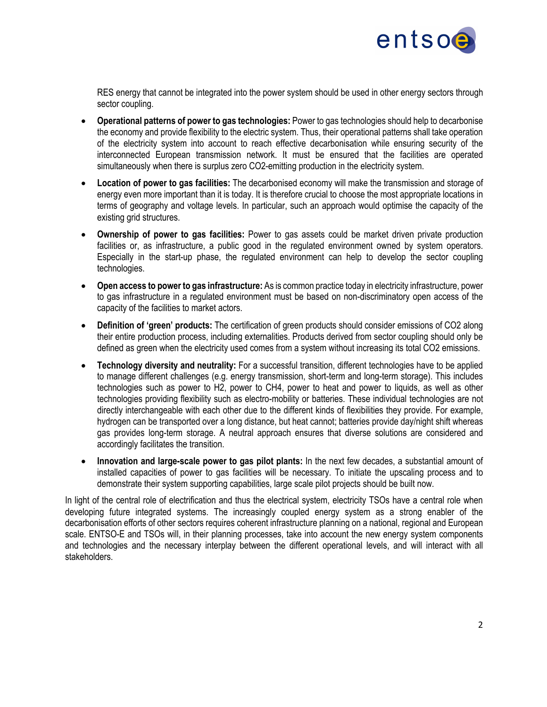

RES energy that cannot be integrated into the power system should be used in other energy sectors through sector coupling.

- **Operational patterns of power to gas technologies:** Power to gas technologies should help to decarbonise the economy and provide flexibility to the electric system. Thus, their operational patterns shall take operation of the electricity system into account to reach effective decarbonisation while ensuring security of the interconnected European transmission network. It must be ensured that the facilities are operated simultaneously when there is surplus zero CO2-emitting production in the electricity system.
- **Location of power to gas facilities:** The decarbonised economy will make the transmission and storage of energy even more important than it is today. It is therefore crucial to choose the most appropriate locations in terms of geography and voltage levels. In particular, such an approach would optimise the capacity of the existing grid structures.
- **Ownership of power to gas facilities:** Power to gas assets could be market driven private production facilities or, as infrastructure, a public good in the regulated environment owned by system operators. Especially in the start-up phase, the regulated environment can help to develop the sector coupling technologies.
- **Open access to power to gas infrastructure:** As is common practice today in electricity infrastructure, power to gas infrastructure in a regulated environment must be based on non-discriminatory open access of the capacity of the facilities to market actors.
- **Definition of 'green' products:** The certification of green products should consider emissions of CO2 along their entire production process, including externalities. Products derived from sector coupling should only be defined as green when the electricity used comes from a system without increasing its total CO2 emissions.
- **Technology diversity and neutrality:** For a successful transition, different technologies have to be applied to manage different challenges (e.g. energy transmission, short-term and long-term storage). This includes technologies such as power to H2, power to CH4, power to heat and power to liquids, as well as other technologies providing flexibility such as electro-mobility or batteries. These individual technologies are not directly interchangeable with each other due to the different kinds of flexibilities they provide. For example, hydrogen can be transported over a long distance, but heat cannot; batteries provide day/night shift whereas gas provides long-term storage. A neutral approach ensures that diverse solutions are considered and accordingly facilitates the transition.
- **Innovation and large-scale power to gas pilot plants:** In the next few decades, a substantial amount of installed capacities of power to gas facilities will be necessary. To initiate the upscaling process and to demonstrate their system supporting capabilities, large scale pilot projects should be built now.

In light of the central role of electrification and thus the electrical system, electricity TSOs have a central role when developing future integrated systems. The increasingly coupled energy system as a strong enabler of the decarbonisation efforts of other sectors requires coherent infrastructure planning on a national, regional and European scale. ENTSO-E and TSOs will, in their planning processes, take into account the new energy system components and technologies and the necessary interplay between the different operational levels, and will interact with all stakeholders.